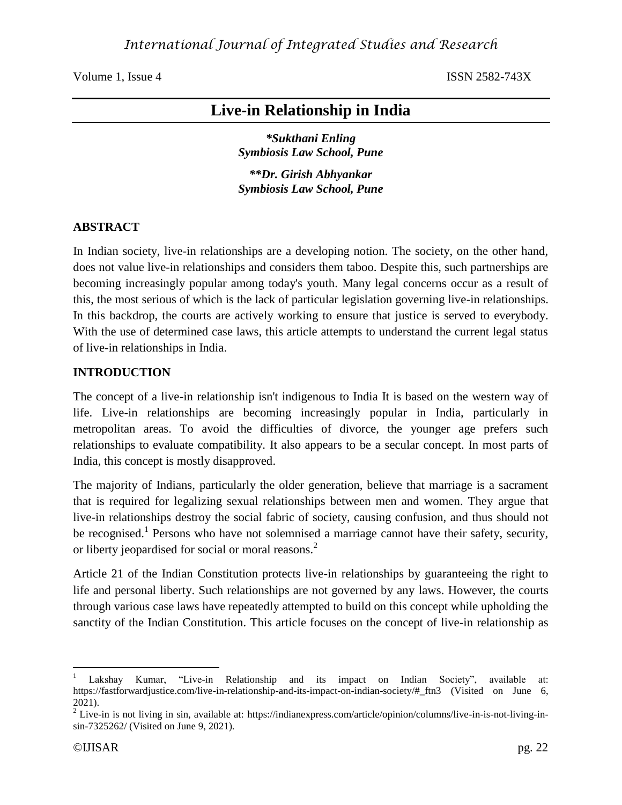# **Live-in Relationship in India**

*\*Sukthani Enling Symbiosis Law School, Pune*

*\*\*Dr. Girish Abhyankar Symbiosis Law School, Pune*

#### **ABSTRACT**

In Indian society, live-in relationships are a developing notion. The society, on the other hand, does not value live-in relationships and considers them taboo. Despite this, such partnerships are becoming increasingly popular among today's youth. Many legal concerns occur as a result of this, the most serious of which is the lack of particular legislation governing live-in relationships. In this backdrop, the courts are actively working to ensure that justice is served to everybody. With the use of determined case laws, this article attempts to understand the current legal status of live-in relationships in India.

#### **INTRODUCTION**

The concept of a live-in relationship isn't indigenous to India It is based on the western way of life. Live-in relationships are becoming increasingly popular in India, particularly in metropolitan areas. To avoid the difficulties of divorce, the younger age prefers such relationships to evaluate compatibility. It also appears to be a secular concept. In most parts of India, this concept is mostly disapproved.

The majority of Indians, particularly the older generation, believe that marriage is a sacrament that is required for legalizing sexual relationships between men and women. They argue that live-in relationships destroy the social fabric of society, causing confusion, and thus should not be recognised.<sup>1</sup> Persons who have not solemnised a marriage cannot have their safety, security, or liberty jeopardised for social or moral reasons.<sup>2</sup>

Article 21 of the Indian Constitution protects live-in relationships by guaranteeing the right to life and personal liberty. Such relationships are not governed by any laws. However, the courts through various case laws have repeatedly attempted to build on this concept while upholding the sanctity of the Indian Constitution. This article focuses on the concept of live-in relationship as

Lakshay Kumar, "Live-in Relationship and its impact on Indian Society", available at: https://fastforwardjustice.com/live-in-relationship-and-its-impact-on-indian-society/#\_ftn3 (Visited on June 6, 2021).

 $2^2$  Live-in is not living in sin, available at: https://indianexpress.com/article/opinion/columns/live-in-is-not-living-insin-7325262/ (Visited on June 9, 2021).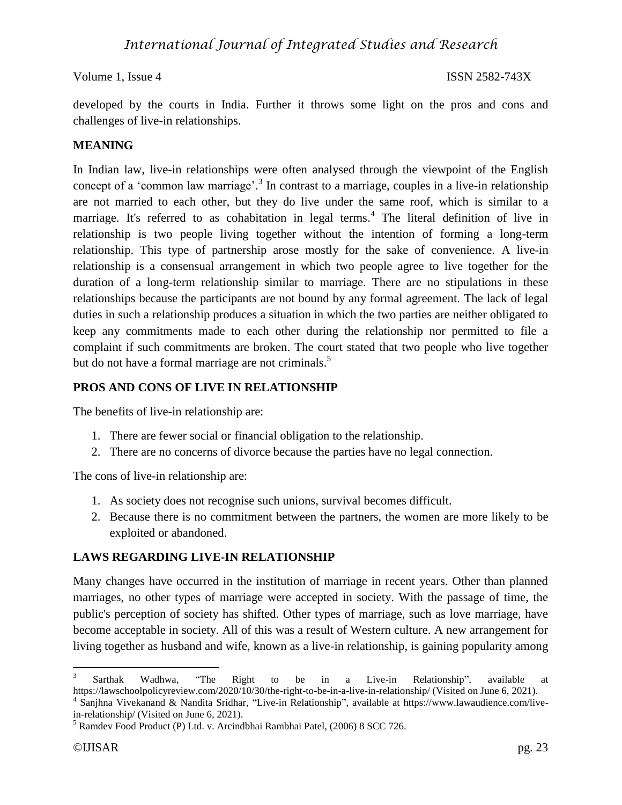developed by the courts in India. Further it throws some light on the pros and cons and challenges of live-in relationships.

### **MEANING**

In Indian law, live-in relationships were often analysed through the viewpoint of the English concept of a 'common law marriage'.<sup>3</sup> In contrast to a marriage, couples in a live-in relationship are not married to each other, but they do live under the same roof, which is similar to a marriage. It's referred to as cohabitation in legal terms.<sup>4</sup> The literal definition of live in relationship is two people living together without the intention of forming a long-term relationship. This type of partnership arose mostly for the sake of convenience. A live-in relationship is a consensual arrangement in which two people agree to live together for the duration of a long-term relationship similar to marriage. There are no stipulations in these relationships because the participants are not bound by any formal agreement. The lack of legal duties in such a relationship produces a situation in which the two parties are neither obligated to keep any commitments made to each other during the relationship nor permitted to file a complaint if such commitments are broken. The court stated that two people who live together but do not have a formal marriage are not criminals.<sup>5</sup>

#### **PROS AND CONS OF LIVE IN RELATIONSHIP**

The benefits of live-in relationship are:

- 1. There are fewer social or financial obligation to the relationship.
- 2. There are no concerns of divorce because the parties have no legal connection.

The cons of live-in relationship are:

- 1. As society does not recognise such unions, survival becomes difficult.
- 2. Because there is no commitment between the partners, the women are more likely to be exploited or abandoned.

### **LAWS REGARDING LIVE-IN RELATIONSHIP**

Many changes have occurred in the institution of marriage in recent years. Other than planned marriages, no other types of marriage were accepted in society. With the passage of time, the public's perception of society has shifted. Other types of marriage, such as love marriage, have become acceptable in society. All of this was a result of Western culture. A new arrangement for living together as husband and wife, known as a live-in relationship, is gaining popularity among

<sup>3</sup> Sarthak Wadhwa, "The Right to be in a Live-in Relationship", available at https://lawschoolpolicyreview.com/2020/10/30/the-right-to-be-in-a-live-in-relationship/ (Visited on June 6, 2021).

<sup>4</sup> Sanjhna Vivekanand & Nandita Sridhar, "Live-in Relationship", available at https://www.lawaudience.com/livein-relationship/ (Visited on June 6, 2021).

<sup>5</sup> Ramdev Food Product (P) Ltd. v. Arcindbhai Rambhai Patel, (2006) 8 SCC 726.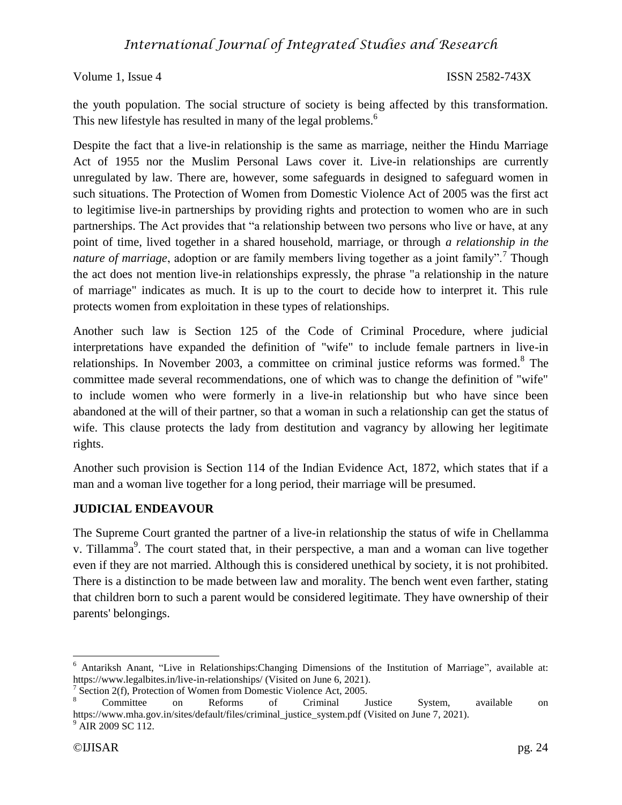the youth population. The social structure of society is being affected by this transformation. This new lifestyle has resulted in many of the legal problems.<sup>6</sup>

Despite the fact that a live-in relationship is the same as marriage, neither the Hindu Marriage Act of 1955 nor the Muslim Personal Laws cover it. Live-in relationships are currently unregulated by law. There are, however, some safeguards in designed to safeguard women in such situations. The Protection of Women from Domestic Violence Act of 2005 was the first act to legitimise live-in partnerships by providing rights and protection to women who are in such partnerships. The Act provides that "a relationship between two persons who live or have, at any point of time, lived together in a shared household, marriage, or through *a relationship in the*  nature of marriage, adoption or are family members living together as a joint family".<sup>7</sup> Though the act does not mention live-in relationships expressly, the phrase "a relationship in the nature of marriage" indicates as much. It is up to the court to decide how to interpret it. This rule protects women from exploitation in these types of relationships.

Another such law is Section 125 of the Code of Criminal Procedure, where judicial interpretations have expanded the definition of "wife" to include female partners in live-in relationships. In November 2003, a committee on criminal justice reforms was formed.<sup>8</sup> The committee made several recommendations, one of which was to change the definition of "wife" to include women who were formerly in a live-in relationship but who have since been abandoned at the will of their partner, so that a woman in such a relationship can get the status of wife. This clause protects the lady from destitution and vagrancy by allowing her legitimate rights.

Another such provision is Section 114 of the Indian Evidence Act, 1872, which states that if a man and a woman live together for a long period, their marriage will be presumed.

### **JUDICIAL ENDEAVOUR**

The Supreme Court granted the partner of a live-in relationship the status of wife in Chellamma v. Tillamma<sup>9</sup>. The court stated that, in their perspective, a man and a woman can live together even if they are not married. Although this is considered unethical by society, it is not prohibited. There is a distinction to be made between law and morality. The bench went even farther, stating that children born to such a parent would be considered legitimate. They have ownership of their parents' belongings.

<sup>6</sup> Antariksh Anant, "Live in Relationships:Changing Dimensions of the Institution of Marriage", available at: https://www.legalbites.in/live-in-relationships/ (Visited on June 6, 2021).

<sup>&</sup>lt;sup>7</sup> Section 2(f), Protection of Women from Domestic Violence Act, 2005.

<sup>&</sup>lt;sup>8</sup> Committee on Reforms of Criminal Justice System, available on https://www.mha.gov.in/sites/default/files/criminal\_justice\_system.pdf (Visited on June 7, 2021).  $^{9}$  AIR 2009 SC 112.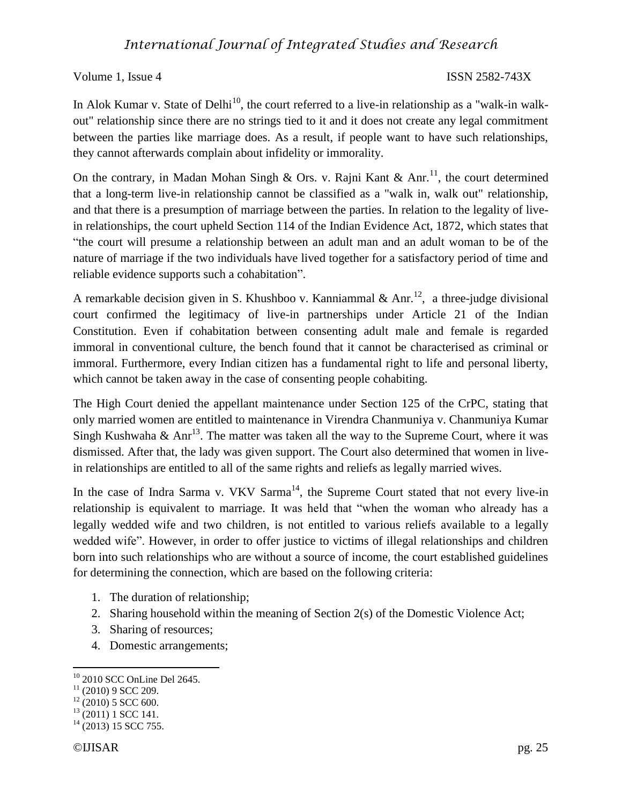## *International Journal of Integrated Studies and Research*

Volume 1, Issue 4 ISSN 2582-743X

In Alok Kumar v. State of Delhi<sup>10</sup>, the court referred to a live-in relationship as a "walk-in walkout" relationship since there are no strings tied to it and it does not create any legal commitment between the parties like marriage does. As a result, if people want to have such relationships, they cannot afterwards complain about infidelity or immorality.

On the contrary, in Madan Mohan Singh & Ors. v. Rajni Kant & Anr.<sup>11</sup>, the court determined that a long-term live-in relationship cannot be classified as a "walk in, walk out" relationship, and that there is a presumption of marriage between the parties. In relation to the legality of livein relationships, the court upheld Section 114 of the Indian Evidence Act, 1872, which states that "the court will presume a relationship between an adult man and an adult woman to be of the nature of marriage if the two individuals have lived together for a satisfactory period of time and reliable evidence supports such a cohabitation".

A remarkable decision given in S. Khushboo v. Kanniammal & Anr.<sup>12</sup>, a three-judge divisional court confirmed the legitimacy of live-in partnerships under Article 21 of the Indian Constitution. Even if cohabitation between consenting adult male and female is regarded immoral in conventional culture, the bench found that it cannot be characterised as criminal or immoral. Furthermore, every Indian citizen has a fundamental right to life and personal liberty, which cannot be taken away in the case of consenting people cohabiting.

The High Court denied the appellant maintenance under Section 125 of the CrPC, stating that only married women are entitled to maintenance in Virendra Chanmuniya v. Chanmuniya Kumar Singh Kushwaha & Anr<sup>13</sup>. The matter was taken all the way to the Supreme Court, where it was dismissed. After that, the lady was given support. The Court also determined that women in livein relationships are entitled to all of the same rights and reliefs as legally married wives.

In the case of Indra Sarma v. VKV Sarma<sup>14</sup>, the Supreme Court stated that not every live-in relationship is equivalent to marriage. It was held that "when the woman who already has a legally wedded wife and two children, is not entitled to various reliefs available to a legally wedded wife". However, in order to offer justice to victims of illegal relationships and children born into such relationships who are without a source of income, the court established guidelines for determining the connection, which are based on the following criteria:

- 1. The duration of relationship;
- 2. Sharing household within the meaning of Section 2(s) of the Domestic Violence Act;
- 3. Sharing of resources;
- 4. Domestic arrangements;

<sup>10</sup> 2010 SCC OnLine Del 2645.

 $11$  (2010) 9 SCC 209.

 $12$  (2010) 5 SCC 600.

 $13$  (2011) 1 SCC 141.

 $14$  (2013) 15 SCC 755.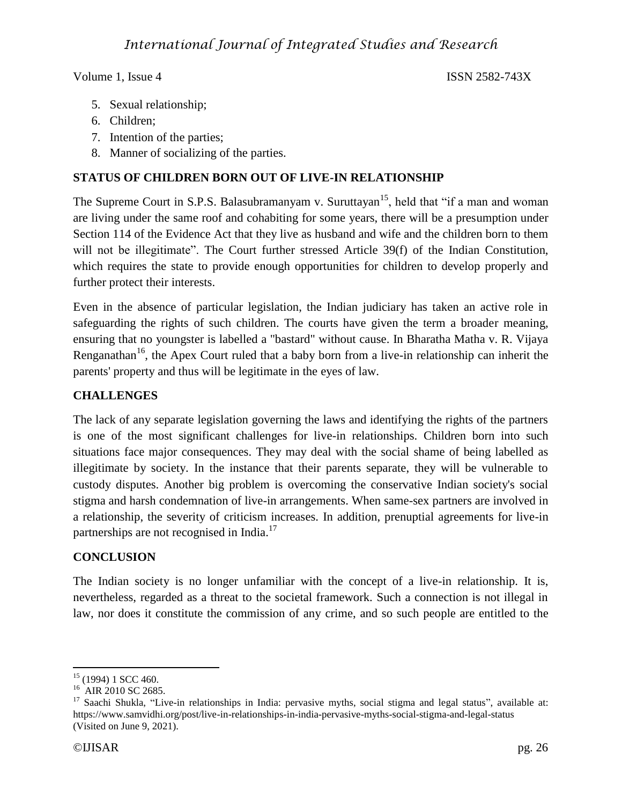- 5. Sexual relationship;
- 6. Children;
- 7. Intention of the parties;
- 8. Manner of socializing of the parties.

### **STATUS OF CHILDREN BORN OUT OF LIVE-IN RELATIONSHIP**

The Supreme Court in S.P.S. Balasubramanyam v. Suruttayan<sup>15</sup>, held that "if a man and woman" are living under the same roof and cohabiting for some years, there will be a presumption under Section 114 of the Evidence Act that they live as husband and wife and the children born to them will not be illegitimate". The Court further stressed Article 39(f) of the Indian Constitution, which requires the state to provide enough opportunities for children to develop properly and further protect their interests.

Even in the absence of particular legislation, the Indian judiciary has taken an active role in safeguarding the rights of such children. The courts have given the term a broader meaning, ensuring that no youngster is labelled a "bastard" without cause. In Bharatha Matha v. R. Vijaya Renganathan<sup>16</sup>, the Apex Court ruled that a baby born from a live-in relationship can inherit the parents' property and thus will be legitimate in the eyes of law.

#### **CHALLENGES**

The lack of any separate legislation governing the laws and identifying the rights of the partners is one of the most significant challenges for live-in relationships. Children born into such situations face major consequences. They may deal with the social shame of being labelled as illegitimate by society. In the instance that their parents separate, they will be vulnerable to custody disputes. Another big problem is overcoming the conservative Indian society's social stigma and harsh condemnation of live-in arrangements. When same-sex partners are involved in a relationship, the severity of criticism increases. In addition, prenuptial agreements for live-in partnerships are not recognised in India.<sup>17</sup>

#### **CONCLUSION**

The Indian society is no longer unfamiliar with the concept of a live-in relationship. It is, nevertheless, regarded as a threat to the societal framework. Such a connection is not illegal in law, nor does it constitute the commission of any crime, and so such people are entitled to the

 $\overline{a}$  $15$  (1994) 1 SCC 460.

 $16$  AIR 2010 SC 2685.

 $17$  Saachi Shukla, "Live-in relationships in India: pervasive myths, social stigma and legal status", available at: https://www.samvidhi.org/post/live-in-relationships-in-india-pervasive-myths-social-stigma-and-legal-status (Visited on June 9, 2021).